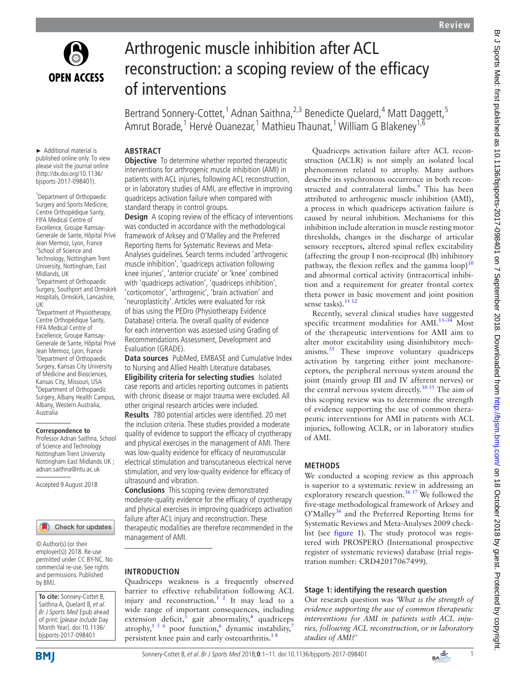

# Arthrogenic muscle inhibition after ACL reconstruction: a scoping review of the efficacy of interventions

Bertrand Sonnery-Cottet,<sup>1</sup> Adnan Saithna,<sup>2,3</sup> Benedicte Quelard,<sup>4</sup> Matt Daggett,<sup>5</sup> Amrut Borade,<sup>1</sup> Hervé Ouanezar,<sup>1</sup> Mathieu Thaunat,<sup>1</sup> William G Blakeney<sup>1,6</sup>

## **Abstract**

► Additional material is published online only. To view please visit the journal online (http://dx.doi.org/10.1136/ bjsports-2017-098401).

<sup>1</sup> Department of Orthopaedic Surgery and Sports Medicine, Centre Orthopédique Santy, FIFA Medical Centre of Excellence, Groupe Ramsay-Generale de Sante, Hôpital Privé Jean Mermoz, Lyon, France <sup>2</sup>School of Science and Technology, Nottingham Trent University, Nottingham, East Midlands, UK <sup>3</sup> Department of Orthopaedic

Surgery, Southport and Ormskirk Hospitals, Ormskirk, Lancashire, UK

4 Department of Physiotherapy, Centre Orthopédique Santy, FIFA Medical Centre of Excellence, Groupe Ramsay-Generale de Sante, Hôpital Privé Jean Mermoz, Lyon, France 5 Department of Orthopaedic Surgery, Kansas City University of Medicine and Biosciences, Kansas City, Missouri, USA <sup>6</sup>Department of Orthopaedic Surgery, Albany Health Campus, Albany, Western Australia, Australia

#### **Correspondence to**

Professor Adnan Saithna, School of Science and Technology Nottingham Trent University Nottingham East Midlands UK ; adnan.saithna@ntu.ac.uk

Accepted 9 August 2018



© Author(s) (or their employer(s)) 2018. Re-use permitted under CC BY-NC. No commercial re-use. See rights and permissions. Published by BMJ.

**To cite:** Sonnery-Cottet B, Saithna A, Quelard B, et al. Br J Sports Med Epub ahead of print: [please include Day Month Year]. doi:10.1136/ bjsports-2017-098401

**Objective** To determine whether reported therapeutic interventions for arthrogenic muscle inhibition (AMI) in patients with ACL injuries, following ACL reconstruction, or in laboratory studies of AMI, are effective in improving quadriceps activation failure when compared with standard therapy in control groups.

**Design** A scoping review of the efficacy of interventions was conducted in accordance with the methodological framework of Arksey and O'Malley and the Preferred Reporting Items for Systematic Reviews and Meta-Analyses guidelines. Search terms included 'arthrogenic muscle inhibition', 'quadriceps activation following knee injuries', 'anterior cruciate' or 'knee' combined with 'quadriceps activation', 'quadriceps inhibition', 'corticomotor', 'arthrogenic', 'brain activation' and 'neuroplasticity'. Articles were evaluated for risk of bias using the PEDro (Physiotherapy Evidence Database) criteria. The overall quality of evidence for each intervention was assessed using Grading of Recommendations Assessment, Development and Evaluation (GRADE).

**Data sources** PubMed, EMBASE and Cumulative Index to Nursing and Allied Health Literature databases. **Eligibility criteria for selecting studies** Isolated case reports and articles reporting outcomes in patients with chronic disease or major trauma were excluded. All other original research articles were included.

**Results** 780 potential articles were identified. 20 met the inclusion criteria. These studies provided a moderate quality of evidence to support the efficacy of cryotherapy and physical exercises in the management of AMI. There was low-quality evidence for efficacy of neuromuscular electrical stimulation and transcutaneous electrical nerve stimulation, and very low-quality evidence for efficacy of ultrasound and vibration.

**Conclusions** This scoping review demonstrated moderate-quality evidence for the efficacy of cryotherapy and physical exercises in improving quadriceps activation failure after ACL injury and reconstruction. These therapeutic modalities are therefore recommended in the management of AMI.

#### **Introduction**

Quadriceps weakness is a frequently observed barrier to effective rehabilitation following ACL injury and reconstruction.<sup>[1 2](#page-9-0)</sup> It may lead to a wide range of important consequences, including extension deficit, $3$  gait abnormality,<sup>4</sup> quadriceps atrophy,<sup>15[6](#page-9-3)</sup> poor function,<sup>6</sup> dynamic instability,<sup>[7](#page-9-4)</sup> persistent knee pain and early osteoarthritis.<sup>18</sup>

Quadriceps activation failure after ACL reconstruction (ACLR) is not simply an isolated local phenomenon related to atrophy. Many authors describe its synchronous occurrence in both recon-structed and contralateral limbs.<sup>[9](#page-9-5)</sup> This has been attributed to arthrogenic muscle inhibition (AMI), a process in which quadriceps activation failure is caused by neural inhibition. Mechanisms for this inhibition include alteration in muscle resting motor thresholds, changes in the discharge of articular sensory receptors, altered spinal reflex excitability (affecting the group I non-reciprocal (Ib) inhibitory pathway, the flexion reflex and the gamma  $loop)^{10}$  $loop)^{10}$  $loop)^{10}$ and abnormal cortical activity (intracortical inhibition and a requirement for greater frontal cortex theta power in basic movement and joint position sense tasks).<sup>11 12</sup>

Recently, several clinical studies have suggested specific treatment modalities for AMI. $13-34$  Most of the therapeutic interventions for AMI aim to alter motor excitability using disinhibitory mechanisms. $35$  These improve voluntary quadriceps activation by targeting either joint mechanoreceptors, the peripheral nervous system around the joint (mainly group III and IV afferent nerves) or the central nervous system directly.<sup>10 35</sup> The aim of this scoping review was to determine the strength of evidence supporting the use of common therapeutic interventions for AMI in patients with ACL injuries, following ACLR, or in laboratory studies of AMI.

## **Methods**

We conducted a scoping review as this approach is superior to a systematic review in addressing an exploratory research question.<sup>36 37</sup> We followed the five-stage methodological framework of Arksey and O'Malley<sup>36</sup> and the Preferred Reporting Items for Systematic Reviews and Meta-Analyses 2009 checklist (see [figure](#page-1-0) 1). The study protocol was registered with PROSPERO (International prospective register of systematic reviews) database (trial registration number: CRD42017067499).

## **Stage 1: identifying the research question**

Our research question was *'What is the strength of evidence supporting the use of common therapeutic interventions for AMI in patients with ACL injuries, following ACL reconstruction, or in laboratory studies of AMI?'*

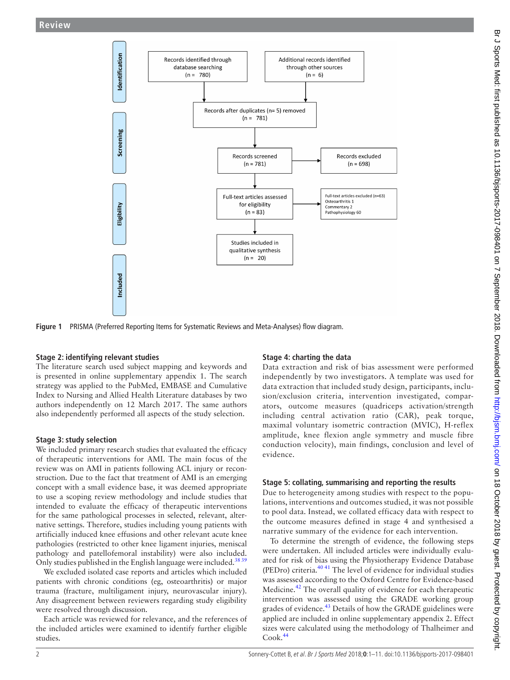

**Figure 1** PRISMA (Preferred Reporting Items for Systematic Reviews and Meta-Analyses) flow diagram.

#### **Stage 2: identifying relevant studies**

The literature search used subject mapping and keywords and is presented in online [supplementary appendix 1.](https://dx.doi.org/10.1136/bjsports-2017-098401) The search strategy was applied to the PubMed, EMBASE and Cumulative Index to Nursing and Allied Health Literature databases by two authors independently on 12 March 2017. The same authors also independently performed all aspects of the study selection.

## **Stage 3: study selection**

We included primary research studies that evaluated the efficacy of therapeutic interventions for AMI. The main focus of the review was on AMI in patients following ACL injury or reconstruction. Due to the fact that treatment of AMI is an emerging concept with a small evidence base, it was deemed appropriate to use a scoping review methodology and include studies that intended to evaluate the efficacy of therapeutic interventions for the same pathological processes in selected, relevant, alternative settings. Therefore, studies including young patients with artificially induced knee effusions and other relevant acute knee pathologies (restricted to other knee ligament injuries, meniscal pathology and patellofemoral instability) were also included. Only studies published in the English language were included.<sup>3839</sup>

We excluded isolated case reports and articles which included patients with chronic conditions (eg, osteoarthritis) or major trauma (fracture, multiligament injury, neurovascular injury). Any disagreement between reviewers regarding study eligibility were resolved through discussion.

Each article was reviewed for relevance, and the references of the included articles were examined to identify further eligible studies.

# <span id="page-1-0"></span>**Stage 4: charting the data**

Data extraction and risk of bias assessment were performed independently by two investigators. A template was used for data extraction that included study design, participants, inclusion/exclusion criteria, intervention investigated, comparators, outcome measures (quadriceps activation/strength including central activation ratio (CAR), peak torque, maximal voluntary isometric contraction (MVIC), H-reflex amplitude, knee flexion angle symmetry and muscle fibre conduction velocity), main findings, conclusion and level of evidence.

## **Stage 5: collating, summarising and reporting the results**

Due to heterogeneity among studies with respect to the populations, interventions and outcomes studied, it was not possible to pool data. Instead, we collated efficacy data with respect to the outcome measures defined in stage 4 and synthesised a narrative summary of the evidence for each intervention.

To determine the strength of evidence, the following steps were undertaken. All included articles were individually evaluated for risk of bias using the Physiotherapy Evidence Database (PEDro) criteria.[40 41](#page-10-3) The level of evidence for individual studies was assessed according to the Oxford Centre for Evidence-based Medicine.<sup>42</sup> The overall quality of evidence for each therapeutic intervention was assessed using the GRADE working group grades of evidence.<sup>[43](#page-10-5)</sup> Details of how the GRADE guidelines were applied are included in online [supplementary appendix 2.](https://dx.doi.org/10.1136/bjsports-2017-098401) Effect sizes were calculated using the methodology of Thalheimer and Cook.[44](#page-10-6)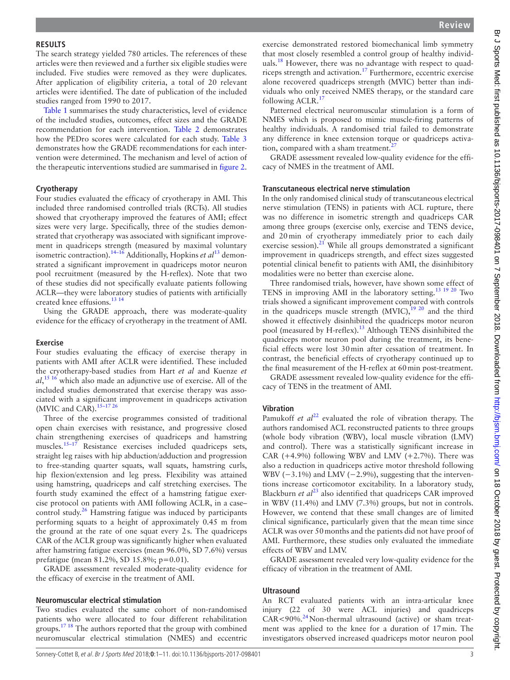#### **Results**

The search strategy yielded 780 articles. The references of these articles were then reviewed and a further six eligible studies were included. Five studies were removed as they were duplicates. After application of eligibility criteria, a total of 20 relevant articles were identified. The date of publication of the included studies ranged from 1990 to 2017.

[Table](#page-3-0) 1 summarises the study characteristics, level of evidence of the included studies, outcomes, effect sizes and the GRADE recommendation for each intervention. [Table](#page-7-0) 2 demonstrates how the PEDro scores were calculated for each study. [Table](#page-8-0) 3 demonstrates how the GRADE recommendations for each intervention were determined. The mechanism and level of action of the therapeutic interventions studied are summarised in [figure](#page-8-1) 2.

#### **Cryotherapy**

Four studies evaluated the efficacy of cryotherapy in AMI. This included three randomised controlled trials (RCTs). All studies showed that cryotherapy improved the features of AMI; effect sizes were very large. Specifically, three of the studies demonstrated that cryotherapy was associated with significant improvement in quadriceps strength (measured by maximal voluntary isometric contraction)[.14–16](#page-9-9) Additionally, Hopkins *et al*[13](#page-9-8) demonstrated a significant improvement in quadriceps motor neuron pool recruitment (measured by the H-reflex). Note that two of these studies did not specifically evaluate patients following ACLR—they were laboratory studies of patients with artificially created knee effusions.[13 14](#page-9-8)

Using the GRADE approach, there was moderate-quality evidence for the efficacy of cryotherapy in the treatment of AMI.

#### **Exercise**

Four studies evaluating the efficacy of exercise therapy in patients with AMI after ACLR were identified. These included the cryotherapy-based studies from Hart *et al* and Kuenze *et al*, [15 16](#page-9-10) which also made an adjunctive use of exercise. All of the included studies demonstrated that exercise therapy was associated with a significant improvement in quadriceps activation (MVIC and CAR).  $15-1726$ 

Three of the exercise programmes consisted of traditional open chain exercises with resistance, and progressive closed chain strengthening exercises of quadriceps and hamstring muscles.<sup>15–17</sup> Resistance exercises included quadriceps sets, straight leg raises with hip abduction/adduction and progression to free-standing quarter squats, wall squats, hamstring curls, hip flexion/extension and leg press. Flexibility was attained using hamstring, quadriceps and calf stretching exercises. The fourth study examined the effect of a hamstring fatigue exercise protocol on patients with AMI following ACLR, in a case– control study. $26$  Hamstring fatigue was induced by participants performing squats to a height of approximately 0.45 m from the ground at the rate of one squat every 2s. The quadriceps CAR of the ACLR group was significantly higher when evaluated after hamstring fatigue exercises (mean 96.0%, SD 7.6%) versus prefatigue (mean 81.2%, SD 15.8%; p=0.01).

GRADE assessment revealed moderate-quality evidence for the efficacy of exercise in the treatment of AMI.

#### **Neuromuscular electrical stimulation**

Two studies evaluated the same cohort of non-randomised patients who were allocated to four different rehabilitation groups.<sup>17 18</sup> The authors reported that the group with combined neuromuscular electrical stimulation (NMES) and eccentric

exercise demonstrated restored biomechanical limb symmetry that most closely resembled a control group of healthy individuals. $18$  However, there was no advantage with respect to quadriceps strength and activation.[17](#page-9-12) Furthermore, eccentric exercise alone recovered quadriceps strength (MVIC) better than individuals who only received NMES therapy, or the standard care following  $ACLR$ <sup>1</sup>

Patterned electrical neuromuscular stimulation is a form of NMES which is proposed to mimic muscle-firing patterns of healthy individuals. A randomised trial failed to demonstrate any difference in knee extension torque or quadriceps activation, compared with a sham treatment. $^{27}$  $^{27}$  $^{27}$ 

GRADE assessment revealed low-quality evidence for the efficacy of NMES in the treatment of AMI.

#### **Transcutaneous electrical nerve stimulation**

In the only randomised clinical study of transcutaneous electrical nerve stimulation (TENS) in patients with ACL rupture, there was no difference in isometric strength and quadriceps CAR among three groups (exercise only, exercise and TENS device, and 20min of cryotherapy immediately prior to each daily exercise session). $^{21}$  $^{21}$  $^{21}$  While all groups demonstrated a significant improvement in quadriceps strength, and effect sizes suggested potential clinical benefit to patients with AMI, the disinhibitory modalities were no better than exercise alone.

Three randomised trials, however, have shown some effect of TENS in improving AMI in the laboratory setting.[13 19 20](#page-9-8) Two trials showed a significant improvement compared with controls in the quadriceps muscle strength  $(MVIC)$ , <sup>19 20</sup> and the third showed it effectively disinhibited the quadriceps motor neuron pool (measured by H-reflex).<sup>13</sup> Although TENS disinhibited the quadriceps motor neuron pool during the treatment, its beneficial effects were lost 30min after cessation of treatment. In contrast, the beneficial effects of cryotherapy continued up to the final measurement of the H-reflex at 60min post-treatment.

GRADE assessment revealed low-quality evidence for the efficacy of TENS in the treatment of AMI.

#### **Vibration**

Pamukoff *et al*<sup>22</sup> evaluated the role of vibration therapy. The authors randomised ACL reconstructed patients to three groups (whole body vibration (WBV), local muscle vibration (LMV) and control). There was a statistically significant increase in CAR  $(+4.9\%)$  following WBV and LMV  $(+2.7\%)$ . There was also a reduction in quadriceps active motor threshold following WBV ( $-3.1\%$ ) and LMV ( $-2.9\%$ ), suggesting that the interventions increase corticomotor excitability. In a laboratory study, Blackburn *et al*<sup>[23](#page-9-18)</sup> also identified that quadriceps CAR improved in WBV (11.4%) and LMV (7.3%) groups, but not in controls. However, we contend that these small changes are of limited clinical significance, particularly given that the mean time since ACLR was over 50months and the patients did not have proof of AMI. Furthermore, these studies only evaluated the immediate effects of WBV and LMV.

GRADE assessment revealed very low-quality evidence for the efficacy of vibration in the treatment of AMI.

#### **Ultrasound**

An RCT evaluated patients with an intra-articular knee injury (22 of 30 were ACL injuries) and quadriceps  $CAR < 90\%$ .<sup>[24](#page-9-19)</sup> Non-thermal ultrasound (active) or sham treatment was applied to the knee for a duration of 17min. The investigators observed increased quadriceps motor neuron pool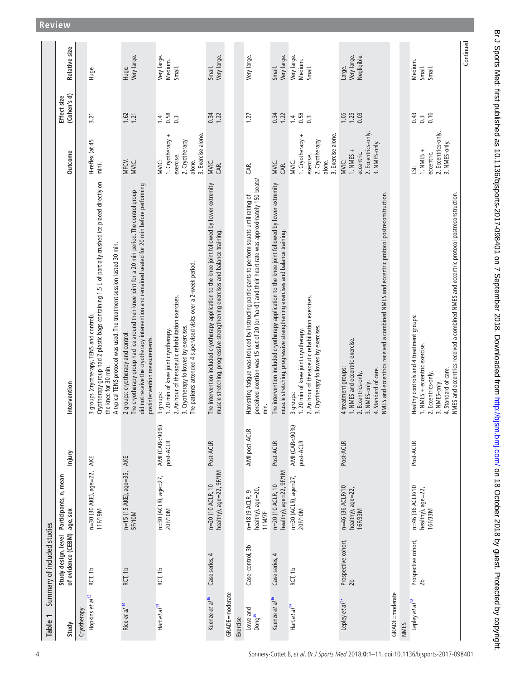<span id="page-3-0"></span>

| Table 1                        | Summary of included studies               |                                                    |                            |                                                                                                                                                                                                                                                                       |                                                                                          |                                          |                                      |
|--------------------------------|-------------------------------------------|----------------------------------------------------|----------------------------|-----------------------------------------------------------------------------------------------------------------------------------------------------------------------------------------------------------------------------------------------------------------------|------------------------------------------------------------------------------------------|------------------------------------------|--------------------------------------|
| Study                          | of evidence (CEBM)<br>Study design, level | Participants, n, mean<br>age, sex                  | Injury                     | Intervention                                                                                                                                                                                                                                                          | Outcome                                                                                  | (Cohen's d)<br>Effect size               | Relative size                        |
| Cryotherapy                    |                                           |                                                    |                            |                                                                                                                                                                                                                                                                       |                                                                                          |                                          |                                      |
| Hopkins et al <sup>13</sup>    | RCT, 1b                                   | n=30 (30 AKE), age=22,<br>11F/19M                  | AKE                        | Cryotherapy group had 2 plastic bags containing 1.5 L of partially crushed ice placed directly on<br>A typical TENS protocol was used. The treatment session lasted 30 min.<br>3 groups (cryotherapy, TENS and control).<br>the knee for 30 min.                      | H-reflex (at 45<br>min).                                                                 | 3.21                                     | Huge.                                |
| Rice et al <sup>14</sup>       | RCT, 1b                                   | n=15 (15 AKE), age=35,<br><b>SF/10M</b>            | AKE                        | did not receive the cryotherapy intervention and remained seated for 20 min before performing<br>The cryotherapy group had ice around their knee joint for a 20 min period. The control group<br>2 groups: cryotherapy and control.<br>postintervention measurements. | MFCV.<br>MVIC.                                                                           | 1.62<br>1.21                             | Very large.<br>Huge.                 |
| Hart et al <sup>15</sup>       | RCT, 1b                                   | n=30 (ACLR), age=27,<br>20F/10M                    | AMI (CAR<90%)<br>post-ACLR | The patients attended 4 supervised visits over a 2-week period.<br>2. An hour of therapeutic rehabilitation exercises.<br>3. Cryotherapy followed by exercises.<br>1.20 min of knee joint cryotherapy.<br>3 groups:                                                   | 1. Cryotherapy +<br>3. Exercise alone.<br>2. Cryotherapy<br>exercise.<br>MVIC:<br>alone. | 0.58<br>$\ddot{a}$<br>$\overline{0}$     | Very large.<br>Medium.<br>Small.     |
| Kuenze et al <sup>16</sup>     | 4<br>Case series,                         | healthy), age=22, 9F/1M<br>n=20 (10 ACLR, 10       | Post-ACLR                  | The intervention included cryotherapy application to the knee joint followed by lower extremity<br>muscle stretching, progressive strengthening exercises and balance training.                                                                                       | MVIC.<br>CAR.                                                                            | 0.34<br>1.22                             | Very large.<br>Small.                |
| GRADE=moderate                 |                                           |                                                    |                            |                                                                                                                                                                                                                                                                       |                                                                                          |                                          |                                      |
| Exercise                       |                                           |                                                    |                            |                                                                                                                                                                                                                                                                       |                                                                                          |                                          |                                      |
| Lowe and<br>Dong <sup>26</sup> | Case-control, 3b                          | healthy), age=20<br>$n = 18 (9 ACLR, 9)$<br>11M/7F | AMI post-ACLR              | perceived exertion was 15 out of 20 (or 'hard') and their heart rate was approximately 150 beats/<br>Hamstring fatigue was induced by instructing participants to perform squats until rating of<br>min.                                                              | GR.                                                                                      | 1.27                                     | Very large.                          |
| Kuenze et al <sup>16</sup>     | Case series, 4                            | healthy), age=22, 9F/1M<br>n=20 (10 ACLR, 10       | Post-ACLR                  | The intervention included cryotherapy application to the knee joint followed by lower extremity<br>muscle stretching, progressive strengthening exercises and balance training.                                                                                       | MVIC.<br>CAR.                                                                            | 0.34<br>1.22                             | Very large.<br>Small.                |
| Hart et al <sup>15</sup>       | RCT, 1b                                   | n=30 (ACLR), age=27,<br>20F/10M                    | AMI (CAR<90%)<br>post-ACLR | 2. An hour of therapeutic rehabilitation exercises.<br>3. Cryotherapy followed by exercises.<br>1.20 min of knee joint cryotherapy.<br>3 groups:                                                                                                                      | 1. Cryotherapy +<br>3. Exercise alone.<br>2. Cryotherapy<br>exercise.<br>MVIC:<br>alone. | 0.58<br>$\overline{1}$<br>$\overline{0}$ | Very large.<br>Medium.<br>Small.     |
| Lepley et al <sup>17</sup>     | Prospective cohort,<br>2 <sub>b</sub>     | n=46 (36 ACLR/10<br>healthy), age=22,<br>16F/33M   | Post-ACLR                  | NMES and eccentrics received a combined NMES and eccentric protocol postreconstruction.<br>1. NMES and eccentric exercise.<br>4 treatment groups:<br>4. Standard of care.<br>2. Eccentrics-only.<br>3. NMES-only.                                                     | 2. Eccentrics-only.<br>3. NMES-only.<br>$1. NMES +$<br>eccentric.<br>MVIC:               | 1.05<br>1.25<br>0.03                     | Very large.<br>Negligible.<br>Large. |
| GRADE=moderate                 |                                           |                                                    |                            |                                                                                                                                                                                                                                                                       |                                                                                          |                                          |                                      |
| NMES                           |                                           |                                                    |                            |                                                                                                                                                                                                                                                                       |                                                                                          |                                          |                                      |
| Lepley et al <sup>18</sup>     | Prospective cohort,<br>56                 | n=46 (36 ACLR/10<br>healthy), age=22,<br>16F/33M   | Post-ACLR                  | NMES and eccentrics received a combined NMES and eccentric protocol postreconstruction.<br>Healthy controls and 4 treatment groups:<br>1. NMES + eccentric exercise.<br>4. Standard of care.<br>2. Eccentrics-only.<br>3. NMES-only.                                  | 2. Eccentrics-only.<br>3. NMES-only.<br>1. NMES $+$<br>eccentric.<br>š                   | 0.16<br>0.43<br>$0.\overline{3}$         | Medium.<br>Small.<br>Small.          |
|                                |                                           |                                                    |                            |                                                                                                                                                                                                                                                                       |                                                                                          |                                          | Continued                            |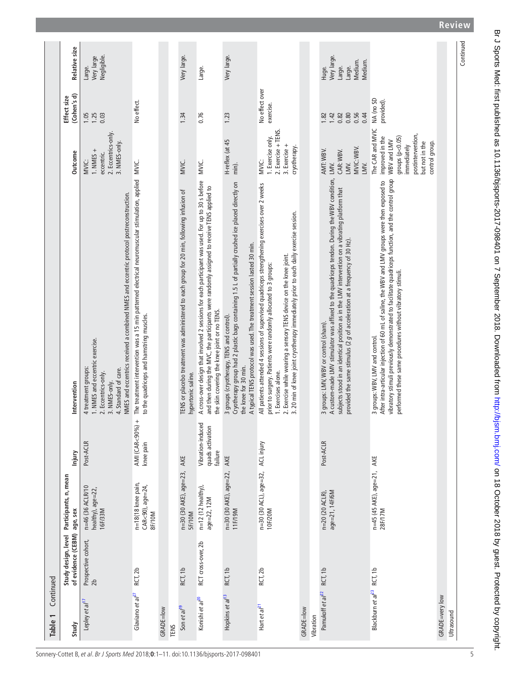| Continued<br>Table 1                   |                             |                                                       |                                                  |                                                                                                                                                                                                                                                                                                                                                      |                                                                                                                                                 |                                              |                                                                |
|----------------------------------------|-----------------------------|-------------------------------------------------------|--------------------------------------------------|------------------------------------------------------------------------------------------------------------------------------------------------------------------------------------------------------------------------------------------------------------------------------------------------------------------------------------------------------|-------------------------------------------------------------------------------------------------------------------------------------------------|----------------------------------------------|----------------------------------------------------------------|
| Study                                  | of evidence (CEBM) age, sex | Study design, level Participants, n, mean             | Injury                                           | Intervention                                                                                                                                                                                                                                                                                                                                         | Outcome                                                                                                                                         | (Cohen's d)<br>Effect size                   | Relative size                                                  |
| Lepley et al <sup>17</sup>             | Prospective cohort,<br>2b   | n=46 (36 ACLR/10<br>healthy), age=22,<br>16F/33M      | Post-ACLR                                        | NMES and eccentrics received a combined NMES and eccentric protocol postreconstruction.<br>1. NMES and eccentric exercise.<br>4 treatment groups:<br>4. Standard of care.<br>2. Eccentrics-only.<br>3. NMES-only.                                                                                                                                    | 2. Eccentrics-only.<br>3. NMES-only.<br>1. NMES +<br>eccentric.<br><b>MVIC:</b>                                                                 | 0.03<br>1.05<br>1.25                         | Negligible.<br>Very large<br>Large.                            |
| Glaviano et al <sup>27</sup>           | RCT, 2b                     | n=18(18 knee pain,<br>$CAR < 90$ ), age=24,<br>8F/10M | AMI (CAR<90%) +<br>knee pain                     | The treatment intervention was a 15 min patterned electrical neuromuscular stimulation, applied MVIC.<br>to the quadriceps and hamstring muscles.                                                                                                                                                                                                    |                                                                                                                                                 | No effect.                                   |                                                                |
| GRADE=low                              |                             |                                                       |                                                  |                                                                                                                                                                                                                                                                                                                                                      |                                                                                                                                                 |                                              |                                                                |
| Son et al <sup>19</sup><br><b>TENS</b> | RCT, 1b                     | n=30 (30 AKE), age=23,<br><b>SF/10M</b>               | AKE                                              | TENS or placebo treatment was administered to each group for 20 min, following infusion of<br>hypertonic saline.                                                                                                                                                                                                                                     | MVIC.                                                                                                                                           | 1.34                                         | Very large.                                                    |
| Konishi et al <sup>20</sup>            | RCT cross-over, 2b          | $n=12$ (12 healthy),<br>age=22, 12M                   | Vibration-induced<br>quads activation<br>failure | A cross-over design that involved 2 sessions for each participant was used. For up to 30 s before<br>and then during the MVC, the participants were randomly assigned to receive TENS applied to<br>the skin covering the knee joint or no TENS.                                                                                                     | MVIC.                                                                                                                                           | 0.76                                         | Large.                                                         |
| Hopkins et al <sup>13</sup>            | RCT, 1b                     | n=30 (30 AKE), age=22,<br>11F/19M                     | AKE                                              | Cryotherapy group had 2 plastic bags containing 1.5 L of partially crushed ice placed directly on<br>A typical TENS protocol was used. The treatment session lasted 30 min.<br>3 groups (cryotherapy, TENS and control).<br>the knee for 30 min.                                                                                                     | H-reflex (at 45<br>min).                                                                                                                        | 1.23                                         | Very large.                                                    |
| Hart et al <sup>21</sup>               | RCT, 2b                     | n=30 (30 ACL), age=32,<br>10F/20M                     | ACL injury                                       | All patients attended 4 sessions of supervised quadriceps strengthening exercises over 2 weeks<br>20 min of knee joint cryotherapy immediately prior to each daily exercise session.<br>2. Exercise while wearing a sensory TENS device on the knee joint.<br>prior to surgery. Patients were randomly allocated to 3 groups:<br>1. Exercises alone. | 2. Exercise + TENS.<br>1. Exercise only.<br>3. Exercise +<br>cryotherapy.<br><b>MVIC:</b>                                                       | No effect over<br>exercise.                  |                                                                |
| GRADE=low<br>Vibration                 |                             |                                                       |                                                  |                                                                                                                                                                                                                                                                                                                                                      |                                                                                                                                                 |                                              |                                                                |
| Pamukoff et al <sup>22</sup>           | RCT, 1b                     | age=21, 14F/6M<br>n=20 (20 ACLR),                     | Post-ACLR                                        | A custom-made LMV stimulator was affixed to the quadriceps tendon. During the WBV condition,<br>subjects stood in an identical position as in the LMV intervention on a vibrating platform that<br>provided the same stimulus (2 g of acceleration at a frequency of 30 Hz).<br>3 groups: LMV, WBV or control (sham).                                | MVIC: WBV.<br>AMT: WBV.<br>CAR: WBV.<br>LMV.<br>LMV.<br>LMV.                                                                                    | 0.80<br>0.56<br>0.82<br>0.44<br>1.42<br>1.82 | Very large.<br>Medium.<br>Medium.<br>Large.<br>Large.<br>Huge. |
| Blackburn et al <sup>23</sup> RCT, 1b  |                             | n=45 (45 AKE), age=21,<br>28F/17M                     | AKE                                              | vibratory stimuli previously demonstrated to facilitate quadriceps function, and the control group<br>After intra-articular injection of 60 mL of saline, the WBV and LIMV groups were then exposed to<br>performed these same procedures without vibratory stimuli.<br>3 groups: WBV, LMV and control.                                              | The CAR and MVIC<br>postintervention,<br>improved in the<br>groups $(p<0.05)$<br>WBV and LMV<br>but not in the<br>control group.<br>immediately | NA (no SD<br>provided).                      |                                                                |
| GRADE=very low<br>Ultrasound           |                             |                                                       |                                                  |                                                                                                                                                                                                                                                                                                                                                      |                                                                                                                                                 |                                              |                                                                |
|                                        |                             |                                                       |                                                  |                                                                                                                                                                                                                                                                                                                                                      |                                                                                                                                                 |                                              | Continued                                                      |

Br J Sports Med: first published as 10.1136/bjsports-2017-098401 on 7 September 2018. Downloaded from http://bjsm.bmj.com/ on 18 October 2018 by guest. Protected by copyright. Br J Sports Med: first published as 10.1136/bjsports-2017-098401 on 7 September 2018. Downloaded from Downloaded from Articlism.bmj.com/ on 18 October 2018 by guest. Protected by copyright.

 $\overline{5}$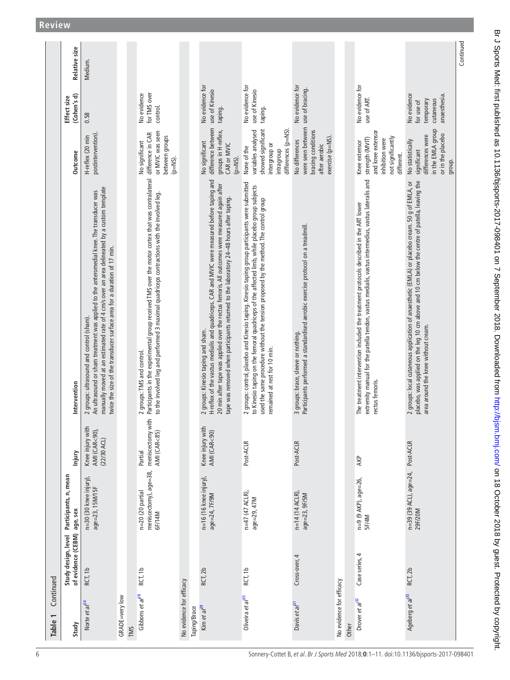| Table 1                      | Continued                   |                                                      |                                                        |                                                                                                                                                                                                                                                                                                                                |                                                                                                              |                                                                    |               |
|------------------------------|-----------------------------|------------------------------------------------------|--------------------------------------------------------|--------------------------------------------------------------------------------------------------------------------------------------------------------------------------------------------------------------------------------------------------------------------------------------------------------------------------------|--------------------------------------------------------------------------------------------------------------|--------------------------------------------------------------------|---------------|
| Study                        | of evidence (CEBM) age, sex | Study design, level Participants, n, mean            | Injury                                                 | Intervention                                                                                                                                                                                                                                                                                                                   | <b>Outcome</b>                                                                                               | (Cohen's d)<br>Effect size                                         | Relative size |
| Norte et al <sup>24</sup>    | RCT, 1b                     | n=30 (30 knee injury),<br>age=23, 15M/15F            | Knee injury with<br>AMI (CAR<90),<br>$(22/30$ ACL)     | manually moved at an estimated rate of 4 cm/s over an area delineated by a custom template<br>An ultrasound or sham treatment was applied to the anteromedial knee. The transducer was<br>twice the size of the transducer surface area for a duration of 17 min.<br>2 groups: ultrasound and control (sham).                  | postintervention)<br>H-reflex (20 min                                                                        | 0.58                                                               | Medium.       |
| GRADE=very low               |                             |                                                      |                                                        |                                                                                                                                                                                                                                                                                                                                |                                                                                                              |                                                                    |               |
| TMS                          |                             |                                                      |                                                        |                                                                                                                                                                                                                                                                                                                                |                                                                                                              |                                                                    |               |
| Gibbons et al <sup>28</sup>  | RCT, 1b                     | meniscectomy), age=38,<br>n=20 (20 partial<br>6F/14M | meniscectomy with<br><b>AMI (CAR&lt;85)</b><br>Partial | Participants in the experimental group received TMS over the motor cortex that was contralateral<br>to the involved leg and performed 3 maximal quadriceps contractions with the involved leg.<br>2 groups: TMS and control.                                                                                                   | or MVIC was seen<br>difference in CAR<br>between groups<br>No significant<br>$(p=NS)$ .                      | for TMS over<br>No evidence<br>control.                            |               |
| No evidence for efficacy     |                             |                                                      |                                                        |                                                                                                                                                                                                                                                                                                                                |                                                                                                              |                                                                    |               |
| Taping/Brace                 |                             |                                                      |                                                        |                                                                                                                                                                                                                                                                                                                                |                                                                                                              |                                                                    |               |
| Kim et a $l^{29}$            | RCT, 2b                     | n=16 (16 knee injury),<br>age=24, 7F/9M              | Knee injury with<br><b>AMI (CAR&lt;90)</b>             | H-reflex of the vastus medialis and quadriceps. CAR and MVIC were measured before taping and<br>20 min after tape was applied over the rectus femoris. All outcomes were measured again after<br>tape was removed when participants returned to the laboratory 24-48 hours after taping.<br>2 groups: Kinesio taping and sham. | difference between<br>groups in H-reflex,<br>No significant<br>CAR or MVIC<br>(p=NS).                        | No evidence for<br>use of Kinesio<br>taping.                       |               |
| Oliveira et al <sup>30</sup> | RCT, 1b                     | $n=47$ (47 ACLR),<br>age=29, 47M                     | Post-ACLR                                              | 2 groups: control, placebo and Kinesio taping. Kinesio taping group participants were submitted<br>to Kinesio taping on the femoral quadriceps of the affected limb, while placebo group subjects<br>used the same procedure without the tension proposed by the method. The control group<br>remained at rest for 10 min.     | showed significant<br>differences (p=NS)<br>variables analysed<br>intergroup or<br>None of the<br>intragroup | No evidence for<br>use of Kinesio<br>taping.                       |               |
| Davis et al <sup>31</sup>    | Cross-over, 4               | n=14 (14 ACLR),<br>age=23, 9F/5M                     | Post-ACLR                                              | Participants performed a standardised aerobic exercise protocol on a treadmill.<br>3 groups: brace, sleeve or nothing.                                                                                                                                                                                                         | were seen between<br>bracing conditions<br>exercise (p=NS).<br>No differences<br>after aerobic               | No evidence for<br>use of bracing.                                 |               |
| No evidence for efficacy     |                             |                                                      |                                                        |                                                                                                                                                                                                                                                                                                                                |                                                                                                              |                                                                    |               |
| Other                        |                             |                                                      |                                                        |                                                                                                                                                                                                                                                                                                                                |                                                                                                              |                                                                    |               |
| Drover et al <sup>32</sup>   | Case series, 4              | n=9 (9 AKP), age=26,<br><b>SF/4M</b>                 | AKP                                                    | extremity manual for the patella tendon, vastus medialis, vastus intermedius, vastus lateralis and<br>The treatment intervention included the treatment protocols described in the ART lower<br>rectus femoris.                                                                                                                | and knee extensor<br>strength (MVIT)<br>not significantly<br>inhibition were<br>Knee extensor<br>different.  | No evidence for<br>use of ART.                                     |               |
| Ageberg et al <sup>33</sup>  | RCT, 2b                     | n=39 (39 ACL), age=24, Post-ACLR<br>29F/20M          |                                                        | placebo, was applied on the leg 10 cm above and 10 cm below the centre of patella, leaving the<br>2 groups: local cutaneous application of anaesthetic (EMLA) or placebo cream. 50 g of EMLA, or<br>area around the knee without cream.                                                                                        | in the EMLA group<br>or in the placebo<br>differences were<br>No statistically<br>significant<br>group.      | No evidence<br>anaesthesia<br>temporary<br>cutaneous<br>for use of |               |
|                              |                             |                                                      |                                                        |                                                                                                                                                                                                                                                                                                                                |                                                                                                              |                                                                    | Continued     |

Br J Sports Med: first published as 10.1136/bjsports-2017-098401 on 7 September 2018. Downloaded from http://bjsm.bmj.com/ on 18 October 2018 by guest. Protected by copyright. Br J Sports Med: first published as 10.1136/bjsports-2017-098401 on 7 September 2018. Downloaded from Downloaded from Articlism.bmj.com/ on 18 October 2018 by guest. Protected by copyright.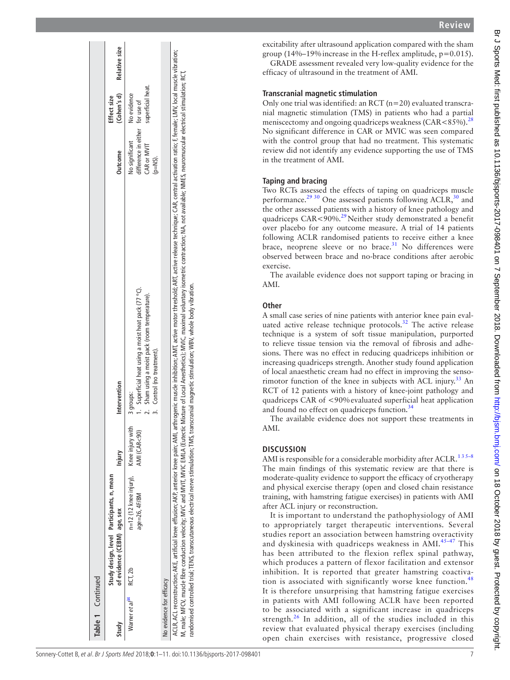| Table 1 Continued                  |                                                                          |                                                            |              |                                                                                                                                                                                                                                                                                                                                                                                                                                                                                                                                                                                                                        |                                                                                |                                  |               |
|------------------------------------|--------------------------------------------------------------------------|------------------------------------------------------------|--------------|------------------------------------------------------------------------------------------------------------------------------------------------------------------------------------------------------------------------------------------------------------------------------------------------------------------------------------------------------------------------------------------------------------------------------------------------------------------------------------------------------------------------------------------------------------------------------------------------------------------------|--------------------------------------------------------------------------------|----------------------------------|---------------|
| Study                              | Study design, level Participants, n, mean<br>of evidence (CEBM) age, sex |                                                            | Injury       | Intervention                                                                                                                                                                                                                                                                                                                                                                                                                                                                                                                                                                                                           | Outcome                                                                        | (Cohen's d)<br>Effect size       | Relative size |
| Warner et al <sup>34</sup> RCT, 2b |                                                                          | $n=12$ (12 knee injury), Knee injury with<br>age=26, 4F/8M | AMI (CAR<90) | 1. Superficial heat using a moist heat pack (77 °C).<br>2. Sham using a moist pack (room temperature).<br>3. Control (no treatment).<br>3 groups:                                                                                                                                                                                                                                                                                                                                                                                                                                                                      | difference in either for use of<br>No significant<br>CAR or MVIT<br>$(p=NS)$ . | superficial heat.<br>No evidence |               |
| No evidence for efficacy           |                                                                          |                                                            |              |                                                                                                                                                                                                                                                                                                                                                                                                                                                                                                                                                                                                                        |                                                                                |                                  |               |
|                                    |                                                                          |                                                            |              | ACLR, ACL reconstruction; AKE, artificial knee effusion; AKP, anterior knee pain; AMI, adhogenic muscle inhibition; AMI, adive release the charge rechnique; CAR, central activation ratio; F, female; LMV, local muscle vibra<br>A, male; MFCV, muscle fibre conduction velocity; MVC and MVIC, MVIC EMLA (Eutectic Mixture of Local Anesthetics); MVIC, maximal voluntary isometric contraction; MA, not available; NMES, neuromuscular electrical stimulation<br>randomised controlled trial; TENS, transcutaneous electrical nerve stimulation; TMS, transcranial magnetic stimulation; WBV, whole body vibration. |                                                                                |                                  |               |

**Review**

excitability after ultrasound application compared with the sham group (14%–19%increase in the H-reflex amplitude, p=0.015).

GRADE assessment revealed very low-quality evidence for the efficacy of ultrasound in the treatment of AMI.

## **Transcranial magnetic stimulation**

Only one trial was identified: an  $\text{RCT}$  (n=20) evaluated transcranial magnetic stimulation (TMS) in patients who had a partial meniscectomy and ongoing quadriceps weakness (CAR <8.5%).<sup>[28](#page-9-22)</sup> No significant difference in CAR or MVIC was seen compared with the control group that had no treatment. This systematic review did not identify any evidence supporting the use of TMS in the treatment of AMI.

# **Taping and bracing**

Two RCTs assessed the effects of taping on quadriceps muscle performance.<sup>[29 30](#page-9-23)</sup> One assessed patients following ACLR,<sup>30</sup> and the other assessed patients with a history of knee pathology and quadriceps CAR<90%.<sup>29</sup>Neither study demonstrated a benefit over placebo for any outcome measure. A trial of 14 patients following ACLR randomised patients to receive either a knee brace, neoprene sleeve or no brace. $31$  No differences were observed between brace and no-brace conditions after aerobic exercise.

The available evidence does not support taping or bracing in AMI.

## **Other**

A small case series of nine patients with anterior knee pain eval uated active release technique protocols. $32$  The active release technique is a system of soft tissue manipulation, purported to relieve tissue tension via the removal of fibrosis and adhe sions. There was no effect in reducing quadriceps inhibition or increasing quadriceps strength. Another study found application of local anaesthetic cream had no effect in improving the senso rimotor function of the knee in subjects with ACL injury.<sup>33</sup> An RCT of 12 patients with a history of knee-joint pathology and quadriceps CAR of <90%evaluated superficial heat application and found no effect on quadriceps function.<sup>[34](#page-10-7)</sup>

The available evidence does not support these treatments in AMI.

## **Discussio n**

AMI is responsible for a considerable morbidity after ACLR.<sup>135-8</sup> The main findings of this systematic review are that there is moderate-quality evidence to support the efficacy of cryotherapy and physical exercise therapy (open and closed chain resistance training, with hamstring fatigue exercises) in patients with AMI after ACL injury or reconstruction.

It is important to understand the pathophysiology of AMI to appropriately target therapeutic interventions. Several studies report an association between hamstring overactivity and dyskinesia with quadriceps weakness in AMI.<sup>45-47</sup> This has been attributed to the flexion reflex spinal pathway, which produces a pattern of flexor facilitation and extensor inhibition. It is reported that greater hamstring coactiva - tion is associated with significantly worse knee function.<sup>[48](#page-10-9)</sup> It is therefore unsurprising that hamstring fatigue exercises in patients with AMI following ACLR have been reported to be associated with a significant increase in quadriceps strength. $^{26}$  In addition, all of the studies included in this review that evaluated physical therapy exercises (including open chain exercises with resistance, progressive closed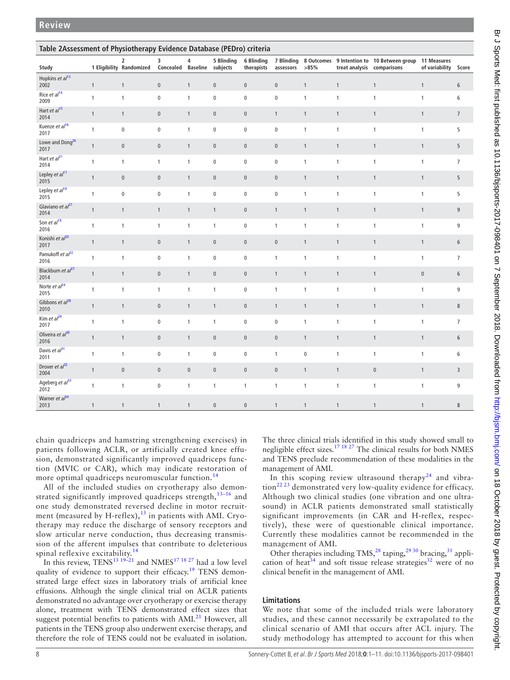<span id="page-7-0"></span>

| Table 2Assessment of Physiotherapy Evidence Database (PEDro) criteria |              |                               |                                  |              |              |                          |                         |              |                            |                                                        |                      |                  |
|-----------------------------------------------------------------------|--------------|-------------------------------|----------------------------------|--------------|--------------|--------------------------|-------------------------|--------------|----------------------------|--------------------------------------------------------|----------------------|------------------|
| Study                                                                 |              | 2<br>1 Eligibility Randomized | 3<br>Concealed Baseline subjects | 4            | 5 Blinding   | 6 Blinding<br>therapists | 7 Blinding<br>assessors | >85%         | treat analysis comparisons | 8 Outcomes 9 Intention to 10 Between group 11 Measures | of variability Score |                  |
| Hopkins et al <sup>13</sup><br>2002                                   | $\mathbf{1}$ | $\mathbf{1}$                  | $\pmb{0}$                        | $\mathbf{1}$ | $\pmb{0}$    | $\pmb{0}$                | $\pmb{0}$               | $\mathbf{1}$ | $\mathbf{1}$               | $\mathbf{1}$                                           | $\mathbf{1}$         | $\boldsymbol{6}$ |
| Rice et al <sup>14</sup><br>2009                                      | $\mathbf{1}$ | $\mathbf{1}$                  | $\pmb{0}$                        | $\mathbf{1}$ | $\pmb{0}$    | $\pmb{0}$                | $\pmb{0}$               | $\mathbf{1}$ | $\mathbf{1}$               | $\mathbf{1}$                                           | $\mathbf{1}$         | 6                |
| Hart et al <sup>15</sup><br>2014                                      | $\mathbf{1}$ | $\mathbf{1}$                  | $\pmb{0}$                        | $\mathbf{1}$ | $\pmb{0}$    | $\pmb{0}$                | $\mathbf{1}$            | $\mathbf{1}$ | $\mathbf{1}$               | $\mathbf{1}$                                           | $\mathbf{1}$         | $7\overline{ }$  |
| Kuenze et al <sup>16</sup><br>2017                                    | $\mathbf{1}$ | $\mathbf 0$                   | $\mathbf 0$                      | $\mathbf{1}$ | $\mathbf 0$  | $\mathbf 0$              | $\mathbf 0$             | $\mathbf{1}$ | $\mathbf{1}$               | $\mathbf{1}$                                           | $\mathbf{1}$         | 5                |
| Lowe and Dong <sup>26</sup><br>2017                                   | $\mathbf{1}$ | $\pmb{0}$                     | $\pmb{0}$                        | $\mathbf{1}$ | $\pmb{0}$    | $\mathsf{O}\xspace$      | $\pmb{0}$               | $\mathbf{1}$ | $\mathbf{1}$               | $\mathbf{1}$                                           | $\mathbf{1}$         | 5                |
| Hart et al <sup>21</sup><br>2014                                      | $\mathbf{1}$ | $\mathbf{1}$                  | $\mathbf{1}$                     | $\mathbf{1}$ | $\mathbf 0$  | $\pmb{0}$                | $\pmb{0}$               | $\mathbf{1}$ | $\mathbf{1}$               | $\mathbf{1}$                                           | $\mathbf{1}$         | $\overline{7}$   |
| Lepley et al <sup>17</sup><br>2015                                    | $\mathbf{1}$ | $\pmb{0}$                     | $\pmb{0}$                        | $\mathbf{1}$ | $\pmb{0}$    | $\pmb{0}$                | $\pmb{0}$               | $\mathbf{1}$ | $\mathbf{1}$               | $\mathbf{1}$                                           | $\mathbf{1}$         | 5                |
| Lepley et al <sup>18</sup><br>2015                                    | $\mathbf{1}$ | $\mathbf 0$                   | $\pmb{0}$                        | $\mathbf{1}$ | $\pmb{0}$    | $\pmb{0}$                | $\pmb{0}$               | $\mathbf{1}$ | $\mathbf{1}$               | $\mathbf{1}$                                           | $\mathbf{1}$         | 5                |
| Glaviano et al <sup>27</sup><br>2014                                  | $\mathbf{1}$ | $\mathbf{1}$                  | $\mathbf{1}$                     | $\mathbf{1}$ | $\mathbf{1}$ | $\pmb{0}$                | $\mathbf{1}$            | $\mathbf{1}$ | $\mathbf{1}$               | $\mathbf{1}$                                           | $\mathbf{1}$         | $\overline{9}$   |
| Son et al <sup>19</sup><br>2016                                       | $\mathbf{1}$ | $\mathbf{1}$                  | $\mathbf{1}$                     | $\mathbf{1}$ | $\mathbf{1}$ | $\mathbf 0$              | $\mathbf{1}$            | $\mathbf{1}$ | $\mathbf{1}$               | $\mathbf{1}$                                           | $\mathbf{1}$         | 9                |
| Konishi et al <sup>20</sup><br>2017                                   | $\mathbf{1}$ | $\mathbf{1}$                  | $\pmb{0}$                        | $\mathbf{1}$ | $\pmb{0}$    | $\pmb{0}$                | $\pmb{0}$               | $\mathbf{1}$ | $\mathbf{1}$               | $\mathbf{1}$                                           | $\mathbf{1}$         | $\sqrt{6}$       |
| Pamukoff et al <sup>22</sup><br>2016                                  | $\mathbf{1}$ | $\mathbf{1}$                  | $\pmb{0}$                        | $\mathbf{1}$ | $\pmb{0}$    | $\pmb{0}$                | $\mathbf{1}$            | $\mathbf{1}$ | $\mathbf{1}$               | $\mathbf{1}$                                           | $\mathbf{1}$         | $\overline{7}$   |
| Blackburn et $al^{23}$<br>2014                                        | $\mathbf{1}$ | $\mathbf{1}$                  | $\pmb{0}$                        | $\mathbf{1}$ | $\pmb{0}$    | $\mathbf 0$              | $\mathbf{1}$            | $\mathbf{1}$ | $\mathbf{1}$               | $\mathbf{1}$                                           | $\pmb{0}$            | $\sqrt{6}$       |
| Norte et $al^{24}$<br>2015                                            | $\mathbf{1}$ | $\mathbf{1}$                  | $\mathbf{1}$                     | $\mathbf{1}$ | $\mathbf{1}$ | $\pmb{0}$                | $\mathbf{1}$            | $\mathbf{1}$ | $\mathbf{1}$               | $\mathbf{1}$                                           | $\mathbf{1}$         | $\boldsymbol{9}$ |
| Gibbons et al <sup>28</sup><br>2010                                   | $\mathbf{1}$ | $\mathbf{1}$                  | $\pmb{0}$                        | $\mathbf{1}$ | $\mathbf{1}$ | $\mathsf{O}\xspace$      | $\mathbf{1}$            | $\mathbf{1}$ | $\mathbf{1}$               | $\mathbf{1}$                                           | $\mathbf{1}$         | $\,8\,$          |
| Kim et al <sup>29</sup><br>2017                                       | $\mathbf{1}$ | $\mathbf{1}$                  | $\pmb{0}$                        | $\mathbf{1}$ | $\mathbf{1}$ | $\mathsf{O}\xspace$      | $\pmb{0}$               | $\mathbf{1}$ | $\mathbf{1}$               | $\mathbf{1}$                                           | $\mathbf{1}$         | $\overline{7}$   |
| Oliveira et al <sup>30</sup><br>2016                                  | $\mathbf{1}$ | $\mathbf{1}$                  | $\pmb{0}$                        | $\mathbf{1}$ | $\pmb{0}$    | $\pmb{0}$                | $\pmb{0}$               | $\mathbf{1}$ | $\mathbf{1}$               | $\mathbf{1}$                                           | $\mathbf{1}$         | $\sqrt{6}$       |
| Davis et al <sup>31</sup><br>2011                                     | $\mathbf{1}$ | $\mathbf{1}$                  | $\pmb{0}$                        | $\mathbf{1}$ | $\pmb{0}$    | $\pmb{0}$                | $\mathbf{1}$            | $\pmb{0}$    | $\mathbf{1}$               | $\mathbf{1}$                                           | $\mathbf{1}$         | 6                |
| Drover et $al^{32}$<br>2004                                           | $\mathbf{1}$ | $\pmb{0}$                     | $\pmb{0}$                        | $\pmb{0}$    | $\pmb{0}$    | $\pmb{0}$                | $\pmb{0}$               | $\mathbf{1}$ | $\mathbf{1}$               | $\pmb{0}$                                              | $\mathbf{1}$         | $\overline{3}$   |
| Ageberg et al <sup>33</sup><br>2012                                   | $\mathbf{1}$ | $\mathbf{1}$                  | $\pmb{0}$                        | $\mathbf{1}$ | $\mathbf{1}$ | $\mathbf{1}$             | $\mathbf{1}$            | $\mathbf{1}$ | $\mathbf{1}$               | $\mathbf{1}$                                           | $\mathbf{1}$         | 9                |
| Warner et al <sup>34</sup><br>2013                                    | $\mathbf{1}$ | $\mathbf{1}$                  | $\mathbf{1}$                     | $\mathbf{1}$ | $\pmb{0}$    | $\pmb{0}$                | $\mathbf{1}$            | $\mathbf{1}$ | $\mathbf{1}$               | $\mathbf{1}$                                           | $\mathbf{1}$         | $\,8\,$          |

chain quadriceps and hamstring strengthening exercises) in patients following ACLR, or artificially created knee effusion, demonstrated significantly improved quadriceps function (MVIC or CAR), which may indicate restoration of more optimal quadriceps neuromuscular function.<sup>[14](#page-9-9)</sup>

All of the included studies on cryotherapy also demonstrated significantly improved quadriceps strength, $13-16$  and one study demonstrated reversed decline in motor recruitment (measured by H-reflex), $^{13}$  in patients with AMI. Cryotherapy may reduce the discharge of sensory receptors and slow articular nerve conduction, thus decreasing transmission of the afferent impulses that contribute to deleterious spinal reflexive excitability.<sup>1</sup>

In this review, TENS<sup>13 19–21</sup> and NMES<sup>17 18 27</sup> had a low level quality of evidence to support their efficacy.<sup>19</sup> TENS demonstrated large effect sizes in laboratory trials of artificial knee effusions. Although the single clinical trial on ACLR patients demonstrated no advantage over cryotherapy or exercise therapy alone, treatment with TENS demonstrated effect sizes that suggest potential benefits to patients with  $AMI<sup>21</sup>$  $AMI<sup>21</sup>$  $AMI<sup>21</sup>$  However, all patients in the TENS group also underwent exercise therapy, and therefore the role of TENS could not be evaluated in isolation.

The three clinical trials identified in this study showed small to negligible effect sizes.<sup>17 18 27</sup> The clinical results for both NMES and TENS preclude recommendation of these modalities in the management of AMI.

In this scoping review ultrasound therapy<sup>24</sup> and vibra- $\frac{1}{22}$  demonstrated very low-quality evidence for efficacy. Although two clinical studies (one vibration and one ultrasound) in ACLR patients demonstrated small statistically significant improvements (in CAR and H-reflex, respectively), these were of questionable clinical importance. Currently these modalities cannot be recommended in the management of AMI.

Other therapies including  $TMS<sub>28</sub><sup>28</sup>$  taping,<sup>29 30</sup> bracing,<sup>31</sup> appli-cation of heat<sup>34</sup> and soft tissue release strategies<sup>[32](#page-9-26)</sup> were of no clinical benefit in the management of AMI.

## **Limitations**

We note that some of the included trials were laboratory studies, and these cannot necessarily be extrapolated to the clinical scenario of AMI that occurs after ACL injury. The study methodology has attempted to account for this when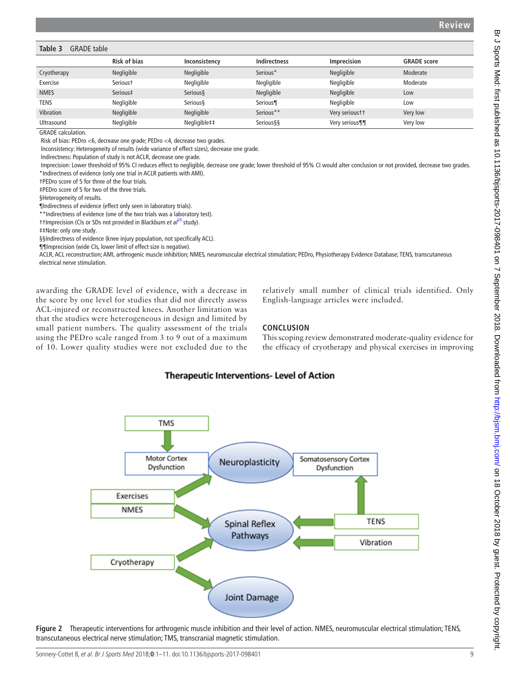#### <span id="page-8-0"></span>**Table 3** GRADE table

|                  | <b>Risk of bias</b>  | Inconsistency | <b>Indirectness</b> | <b>Imprecision</b> | <b>GRADE</b> score |
|------------------|----------------------|---------------|---------------------|--------------------|--------------------|
| Cryotherapy      | Negligible           | Negligible    | Serious*            | Negligible         | Moderate           |
| Exercise         | Serious <sup>+</sup> | Negligible    | Negligible          | Negligible         | Moderate           |
| <b>NMES</b>      | Serious‡             | Serious§      | Negligible          | Negligible         | Low                |
| TENS             | Negligible           | Serious§      | Serious¶            | Negligible         | Low                |
| <b>Vibration</b> | Negligible           | Negligible    | Serious**           | Very serioustt     | Very low           |
| Ultrasound       | Negligible           | Negligible##  | <b>Serious§§</b>    | Very serious¶¶     | Very low           |

GRADE calculation.

Risk of bias: PEDro <6, decrease one grade; PEDro <4, decrease two grades.

Inconsistency: Heterogeneity of results (wide variance of effect sizes), decrease one grade.

Indirectness: Population of study is not ACLR, decrease one grade.

 Imprecision: Lower threshold of 95% CI reduces effect to negligible, decrease one grade; lower threshold of 95% CI would alter conclusion or not provided, decrease two grades. \*Indirectness of evidence (only one trial in ACLR patients with AMI).

†PEDro score of 5 for three of the four trials.

‡PEDro score of 5 for two of the three trials.

§Heterogeneity of results.

¶Indirectness of evidence (effect only seen in laboratory trials).

\*\*Indirectness of evidence (one of the two trials was a laboratory test).

††Imprecision (CIs or SDs not provided in Blackburn *et al*[23](#page-9-18) study).

‡‡Note: only one study.

§§Indirectness of evidence (knee injury population, not specifically ACL).

¶¶Imprecision (wide CIs, lower limit of effect size is negative).

ACLR, ACL reconstruction; AMI, arthrogenic muscle inhibition; NMES, neuromuscular electrical stimulation; PEDro, Physiotherapy Evidence Database; TENS, transcutaneous electrical nerve stimulation.

awarding the GRADE level of evidence, with a decrease in the score by one level for studies that did not directly assess ACL-injured or reconstructed knees. Another limitation was that the studies were heterogeneous in design and limited by small patient numbers. The quality assessment of the trials using the PEDro scale ranged from 3 to 9 out of a maximum of 10. Lower quality studies were not excluded due to the relatively small number of clinical trials identified. Only English-language articles were included.

## **Conclusion**

This scoping review demonstrated moderate-quality evidence for the efficacy of cryotherapy and physical exercises in improving

# **Therapeutic Interventions- Level of Action**



<span id="page-8-1"></span>**Figure 2** Therapeutic interventions for arthrogenic muscle inhibition and their level of action. NMES, neuromuscular electrical stimulation; TENS, transcutaneous electrical nerve stimulation; TMS, transcranial magnetic stimulation.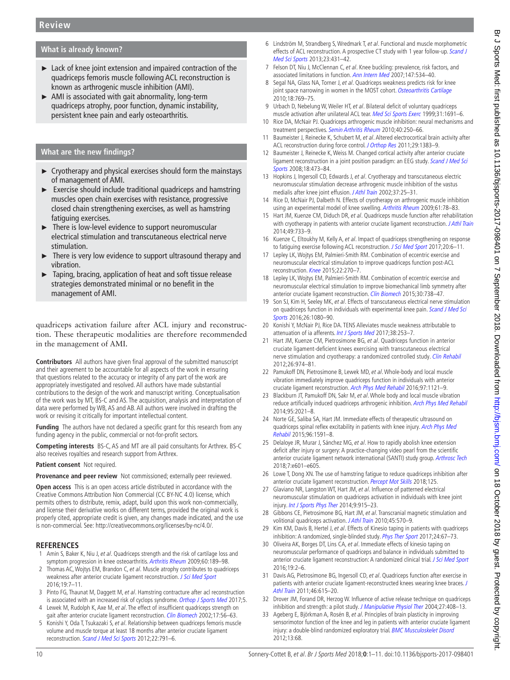# **What is already known?**

- ► Lack of knee joint extension and impaired contraction of the quadriceps femoris muscle following ACL reconstruction is known as arthrogenic muscle inhibition (AMI).
- ► AMI is associated with gait abnormality, long-term quadriceps atrophy, poor function, dynamic instability, persistent knee pain and early osteoarthritis.

## **What are the new findings?**

- $\triangleright$  Cryotherapy and physical exercises should form the mainstays of management of AMI.
- ► Exercise should include traditional quadriceps and hamstring muscles open chain exercises with resistance, progressive closed chain strengthening exercises, as well as hamstring fatiguing exercises.
- ► There is low-level evidence to support neuromuscular electrical stimulation and transcutaneous electrical nerve stimulation.
- There is very low evidence to support ultrasound therapy and vibration.
- Taping, bracing, application of heat and soft tissue release strategies demonstrated minimal or no benefit in the management of AMI.

quadriceps activation failure after ACL injury and reconstruction. These therapeutic modalities are therefore recommended in the management of AMI.

**Contributors** All authors have given final approval of the submitted manuscript and their agreement to be accountable for all aspects of the work in ensuring that questions related to the accuracy or integrity of any part of the work are appropriately investigated and resolved. All authors have made substantial contributions to the design of the work and manuscript writing. Conceptualisation of the work was by MT, BS-C and AS. The acquisition, analysis and interpretation of data were performed by WB, AS and AB. All authors were involved in drafting the work or revising it critically for important intellectual content.

**Funding** The authors have not declared a specific grant for this research from any funding agency in the public, commercial or not-for-profit sectors.

**Competing interests** BS-C, AS and MT are all paid consultants for Arthrex. BS-C also receives royalties and research support from Arthrex.

#### **Patient consent** Not required.

**Provenance and peer review** Not commissioned; externally peer reviewed.

**Open access** This is an open access article distributed in accordance with the Creative Commons Attribution Non Commercial (CC BY-NC 4.0) license, which permits others to distribute, remix, adapt, build upon this work non-commercially, and license their derivative works on different terms, provided the original work is properly cited, appropriate credit is given, any changes made indicated, and the use is non-commercial. See: <http://creativecommons.org/licenses/by-nc/4.0/>.

#### **References**

- <span id="page-9-0"></span>Amin S, Baker K, Niu J, et al. Quadriceps strength and the risk of cartilage loss and symptom progression in knee osteoarthritis. [Arthritis Rheum](http://dx.doi.org/10.1002/art.24182) 2009;60:189-98.
- 2 Thomas AC, Wojtys EM, Brandon C, et al. Muscle atrophy contributes to quadriceps weakness after anterior cruciate ligament reconstruction. [J Sci Med Sport](http://dx.doi.org/10.1016/j.jsams.2014.12.009) 2016;19:7–11.
- <span id="page-9-1"></span>3 Pinto FG, Thaunat M, Daggett M, et al. Hamstring contracture after acl reconstruction is associated with an increased risk of cyclops syndrome. [Orthop J Sports Med](http://dx.doi.org/10.1177/2325967116684121) 2017;5.
- <span id="page-9-2"></span>4 Lewek M, Rudolph K, Axe M, et al. The effect of insufficient quadriceps strength on gait after anterior cruciate ligament reconstruction. [Clin Biomech](http://dx.doi.org/10.1016/S0268-0033(01)00097-3) 2002;17:56-63.
- 5 Konishi Y, Oda T, Tsukazaki S, et al. Relationship between quadriceps femoris muscle volume and muscle torque at least 18 months after anterior cruciate ligament reconstruction. [Scand J Med Sci Sports](http://dx.doi.org/10.1111/j.1600-0838.2011.01332.x) 2012;22:791–6.
- <span id="page-9-3"></span>6 Lindström M, Strandberg S, Wredmark T, et al. Functional and muscle morphometric effects of ACL reconstruction. A prospective CT study with 1 year follow-up. Scand J [Med Sci Sports](http://dx.doi.org/10.1111/j.1600-0838.2011.01417.x) 2013;23:431–42.
- <span id="page-9-4"></span>7 Felson DT, Niu J, McClennan C, et al. Knee buckling: prevalence, risk factors, and associated limitations in function. [Ann Intern Med](http://dx.doi.org/10.7326/0003-4819-147-8-200710160-00005) 2007;147:534–40.
- 8 Segal NA, Glass NA, Torner J, et al. Quadriceps weakness predicts risk for knee joint space narrowing in women in the MOST cohort. [Osteoarthritis Cartilage](http://dx.doi.org/10.1016/j.joca.2010.02.002) 2010;18:769–75.
- <span id="page-9-5"></span>9 Urbach D, Nebelung W, Weiler HT, et al. Bilateral deficit of voluntary quadriceps muscle activation after unilateral ACL tear. [Med Sci Sports Exerc](http://dx.doi.org/10.1097/00005768-199912000-00001) 1999;31:1691-6.
- <span id="page-9-6"></span>10 Rice DA, McNair PJ. Quadriceps arthrogenic muscle inhibition: neural mechanisms and treatment perspectives. [Semin Arthritis Rheum](http://dx.doi.org/10.1016/j.semarthrit.2009.10.001) 2010;40:250–66.
- <span id="page-9-7"></span>11 Baumeister J, Reinecke K, Schubert M, et al. Altered electrocortical brain activity after ACL reconstruction during force control. [J Orthop Res](http://dx.doi.org/10.1002/jor.21380) 2011;29:1383-9.
- 12 Baumeister J, Reinecke K, Weiss M. Changed cortical activity after anterior cruciate ligament reconstruction in a joint position paradigm: an EEG study. Scand J Med Sci [Sports](http://dx.doi.org/10.1111/j.1600-0838.2007.00702.x) 2008;18:473–84.
- <span id="page-9-8"></span>13 Hopkins J, Ingersoll CD, Edwards J, et al. Cryotherapy and transcutaneous electric neuromuscular stimulation decrease arthrogenic muscle inhibition of the vastus medialis after knee joint effusion. [J Athl Train](http://www.ncbi.nlm.nih.gov/pubmed/12937440) 2002;37:25–31.
- <span id="page-9-9"></span>14 Rice D, McNair PJ, Dalbeth N. Effects of cryotherapy on arthrogenic muscle inhibition using an experimental model of knee swelling. [Arthritis Rheum](http://dx.doi.org/10.1002/art.24168) 2009;61:78-83.
- <span id="page-9-10"></span>15 Hart JM, Kuenze CM, Diduch DR, et al. Quadriceps muscle function after rehabilitation with cryotherapy in patients with anterior cruciate ligament reconstruction. [J Athl Train](http://dx.doi.org/10.4085/1062-6050-49.3.39) 2014;49:733–9.
- <span id="page-9-20"></span>16 Kuenze C, Eltoukhy M, Kelly A, et al. Impact of quadriceps strengthening on response to fatiguing exercise following ACL reconstruction. [J Sci Med Sport](http://dx.doi.org/10.1016/j.jsams.2016.04.015) 2017;20:6-11.
- <span id="page-9-12"></span>17 Lepley LK, Wojtys EM, Palmieri-Smith RM. Combination of eccentric exercise and neuromuscular electrical stimulation to improve quadriceps function post-ACL reconstruction. [Knee](http://dx.doi.org/10.1016/j.knee.2014.11.013) 2015:22:270-7.
- <span id="page-9-13"></span>18 Lepley LK, Wojtys EM, Palmieri-Smith RM. Combination of eccentric exercise and neuromuscular electrical stimulation to improve biomechanical limb symmetry after anterior cruciate ligament reconstruction. [Clin Biomech](http://dx.doi.org/10.1016/j.clinbiomech.2015.04.011) 2015;30:738-47.
- <span id="page-9-16"></span>19 Son SJ, Kim H, Seeley MK, et al. Effects of transcutaneous electrical nerve stimulation on quadriceps function in individuals with experimental knee pain. Scand J Med Sci [Sports](http://dx.doi.org/10.1111/sms.12539) 2016;26:1080–90.
- <span id="page-9-21"></span>20 Konishi Y, McNair PJ, Rice DA. TENS Alleviates muscle weakness attributable to attenuation of ia afferents. [Int J Sports Med](http://dx.doi.org/10.1055/s-0042-118183) 2017;38:253-7.
- <span id="page-9-15"></span>21 Hart JM, Kuenze CM, Pietrosimone BG, et al. Quadriceps function in anterior cruciate ligament-deficient knees exercising with transcutaneous electrical nerve stimulation and cryotherapy: a randomized controlled study. [Clin Rehabil](http://dx.doi.org/10.1177/0269215512438272) 2012;26:974–81.
- <span id="page-9-17"></span>22 Pamukoff DN, Pietrosimone B, Lewek MD, et al. Whole-body and local muscle vibration immediately improve quadriceps function in individuals with anterior cruciate ligament reconstruction. [Arch Phys Med Rehabil](http://dx.doi.org/10.1016/j.apmr.2016.01.021) 2016;97:1121–9.
- <span id="page-9-18"></span>23 Blackburn JT, Pamukoff DN, Sakr M, et al. Whole body and local muscle vibration reduce artificially induced quadriceps arthrogenic inhibition. [Arch Phys Med Rehabil](http://dx.doi.org/10.1016/j.apmr.2014.07.393) 2014;95:2021–8.
- <span id="page-9-19"></span>24 Norte GE, Saliba SA, Hart JM. Immediate effects of therapeutic ultrasound on quadriceps spinal reflex excitability in patients with knee injury. Arch Phys Med [Rehabil](http://dx.doi.org/10.1016/j.apmr.2015.03.014) 2015;96:1591–8.
- 25 Delaloye JR, Murar J, Sánchez MG, et al. How to rapidly abolish knee extension deficit after injury or surgery: A practice-changing video pearl from the scientific anterior cruciate ligament network international (SANTI) study group. [Arthrosc Tech](http://dx.doi.org/10.1016/j.eats.2018.02.006) 2018;7:e601–e605.
- <span id="page-9-11"></span>26 Lowe T, Dong XN. The use of hamstring fatigue to reduce quadriceps inhibition after anterior cruciate ligament reconstruction. [Percept Mot Skills](http://dx.doi.org/10.1177/0031512517735744) 2018;125.
- <span id="page-9-14"></span>27 Glaviano NR, Langston WT, Hart JM, et al. Influence of patterned electrical neuromuscular stimulation on quadriceps activation in individuals with knee joint injury. [Int J Sports Phys Ther](http://www.ncbi.nlm.nih.gov/pubmed/25540707) 2014;9:915–23.
- <span id="page-9-22"></span>28 Gibbons CE, Pietrosimone BG, Hart JM, et al. Transcranial magnetic stimulation and volitional quadriceps activation. [J Athl Train](http://dx.doi.org/10.4085/1062-6050-45.6.570) 2010;45:570-9.
- <span id="page-9-23"></span>29 Kim KM, Davis B, Hertel J, et al. Effects of Kinesio taping in patients with quadriceps inhibition: A randomized, single-blinded study. [Phys Ther Sport](http://dx.doi.org/10.1016/j.ptsp.2016.08.015) 2017;24:67-73.
- <span id="page-9-24"></span>30 Oliveira AK, Borges DT, Lins CA, et al. Immediate effects of kinesio taping on neuromuscular performance of quadriceps and balance in individuals submitted to anterior cruciate ligament reconstruction: A randomized clinical trial. [J Sci Med Sport](http://dx.doi.org/10.1016/j.jsams.2014.12.002) 2016;19:2–6.
- <span id="page-9-25"></span>31 Davis AG, Pietrosimone BG, Ingersoll CD, et al. Quadriceps function after exercise in patients with anterior cruciate ligament-reconstructed knees wearing knee braces. J [Athl Train](http://dx.doi.org/10.4085/1062-6050-46.6.615) 2011;46:615–20.
- <span id="page-9-26"></span>32 Drover JM, Forand DR, Herzog W. Influence of active release technique on quadriceps inhibition and strength: a pilot study. [J Manipulative Physiol Ther](http://dx.doi.org/10.1016/j.jmpt.2004.05.006) 2004;27:408-13.
- <span id="page-9-27"></span>33 Ageberg E, Björkman A, Rosén B, et al. Principles of brain plasticity in improving sensorimotor function of the knee and leg in patients with anterior cruciate ligament injury: a double-blind randomized exploratory trial. [BMC Musculoskelet Disord](http://dx.doi.org/10.1186/1471-2474-13-68) 2012;13:68.